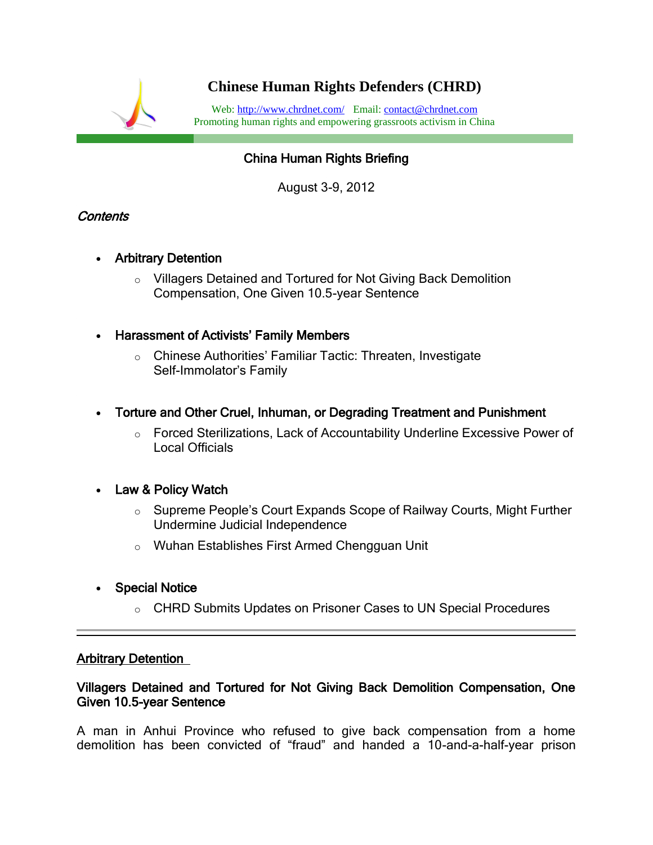

# China Human Rights Briefing

August 3-9, 2012

### Contents

- Arbitrary Detention
	- o Villagers Detained and Tortured for Not Giving Back Demolition Compensation, One Given 10.5-year Sentence
- Harassment of Activists' Family Members
	- o Chinese Authorities' Familiar Tactic: Threaten, Investigate Self-Immolator's Family
- Torture and Other Cruel, Inhuman, or Degrading Treatment and Punishment
	- o Forced Sterilizations, Lack of Accountability Underline Excessive Power of Local Officials

## Law & Policy Watch

- o Supreme People's Court Expands Scope of Railway Courts, Might Further Undermine Judicial Independence
- o Wuhan Establishes First Armed Chengguan Unit
- Special Notice
	- o CHRD Submits Updates on Prisoner Cases to UN Special Procedures

l,

#### Arbitrary Detention

#### Villagers Detained and Tortured for Not Giving Back Demolition Compensation, One Given 10.5-year Sentence

A man in Anhui Province who refused to give back compensation from a home demolition has been convicted of "fraud" and handed a 10-and-a-half-year prison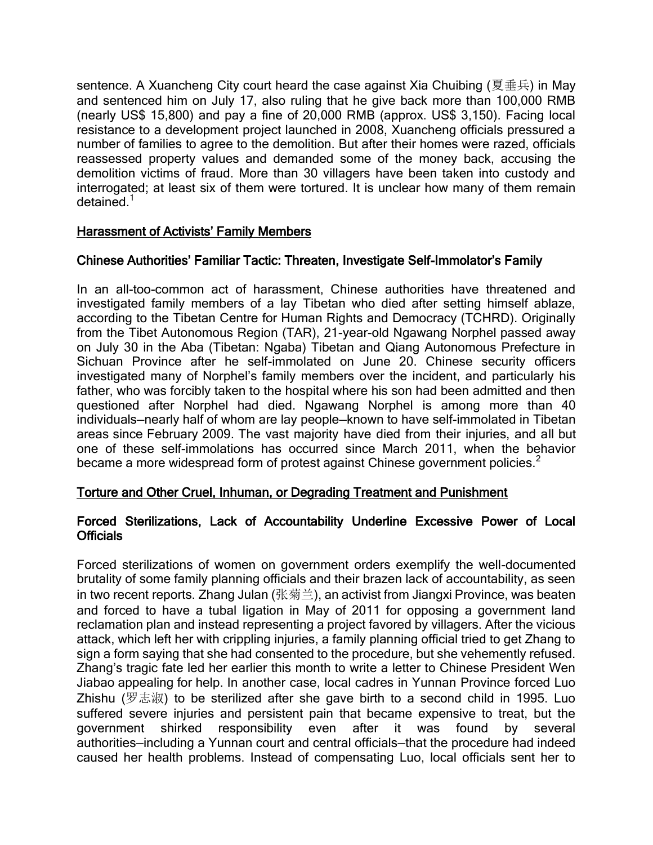sentence. A Xuancheng City court heard the case against Xia Chuibing (夏垂兵) in May and sentenced him on July 17, also ruling that he give back more than 100,000 RMB (nearly US\$ 15,800) and pay a fine of 20,000 RMB (approx. US\$ 3,150). Facing local resistance to a development project launched in 2008, Xuancheng officials pressured a number of families to agree to the demolition. But after their homes were razed, officials reassessed property values and demanded some of the money back, accusing the demolition victims of fraud. More than 30 villagers have been taken into custody and interrogated; at least six of them were tortured. It is unclear how many of them remain detained<sup>1</sup>

#### Harassment of Activists' Family Members

### Chinese Authorities' Familiar Tactic: Threaten, Investigate Self-Immolator's Family

In an all-too-common act of harassment, Chinese authorities have threatened and investigated family members of a lay Tibetan who died after setting himself ablaze, according to the Tibetan Centre for Human Rights and Democracy (TCHRD). Originally from the Tibet Autonomous Region (TAR), 21-year-old Ngawang Norphel passed away on July 30 in the Aba (Tibetan: Ngaba) Tibetan and Qiang Autonomous Prefecture in Sichuan Province after he self-immolated on June 20. Chinese security officers investigated many of Norphel's family members over the incident, and particularly his father, who was forcibly taken to the hospital where his son had been admitted and then questioned after Norphel had died. Ngawang Norphel is among more than 40 individuals—nearly half of whom are lay people—known to have self-immolated in Tibetan areas since February 2009. The vast majority have died from their injuries, and all but one of these self-immolations has occurred since March 2011, when the behavior became a more widespread form of protest against Chinese government policies.<sup>2</sup>

### Torture and Other Cruel, Inhuman, or Degrading Treatment and Punishment

#### Forced Sterilizations, Lack of Accountability Underline Excessive Power of Local Officials

Forced sterilizations of women on government orders exemplify the well-documented brutality of some family planning officials and their brazen lack of accountability, as seen in two recent reports. Zhang Julan (张菊兰), an activist from Jiangxi Province, was beaten and forced to have a tubal ligation in May of 2011 for opposing a government land reclamation plan and instead representing a project favored by villagers. After the vicious attack, which left her with crippling injuries, a family planning official tried to get Zhang to sign a form saying that she had consented to the procedure, but she vehemently refused. Zhang's tragic fate led her earlier this month to write a letter to Chinese President Wen Jiabao appealing for help. In another case, local cadres in Yunnan Province forced Luo Zhishu (罗志淑) to be sterilized after she gave birth to a second child in 1995. Luo suffered severe injuries and persistent pain that became expensive to treat, but the government shirked responsibility even after it was found by several authorities—including a Yunnan court and central officials—that the procedure had indeed caused her health problems. Instead of compensating Luo, local officials sent her to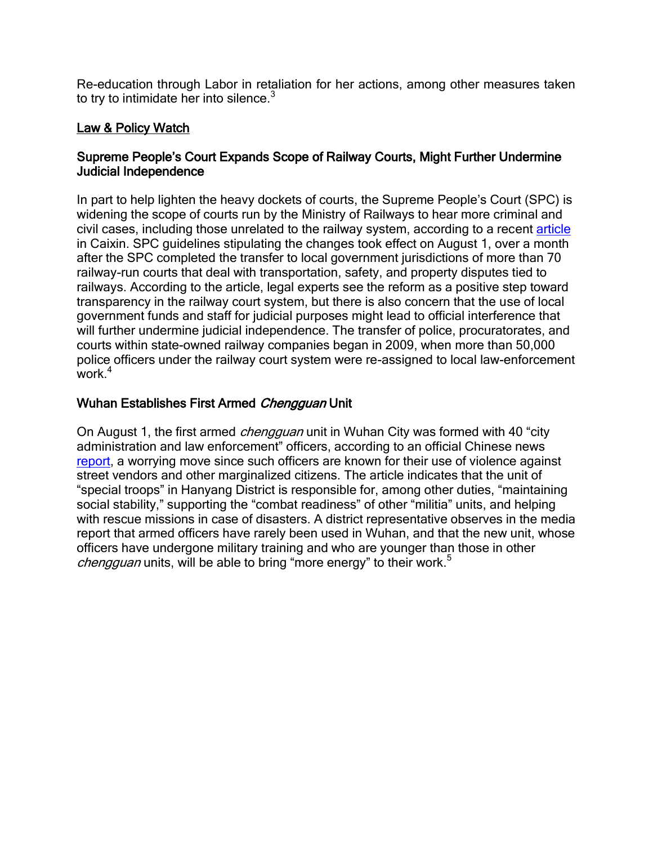Re-education through Labor in retaliation for her actions, among other measures taken to try to intimidate her into silence. $3$ 

# Law & Policy Watch

### Supreme People's Court Expands Scope of Railway Courts, Might Further Undermine Judicial Independence

In part to help lighten the heavy dockets of courts, the Supreme People's Court (SPC) is widening the scope of courts run by the Ministry of Railways to hear more criminal and civil cases, including those unrelated to the railway system, according to a recent [article](http://english.caixin.com/2012-08-02/100418720.html) in Caixin. SPC guidelines stipulating the changes took effect on August 1, over a month after the SPC completed the transfer to local government jurisdictions of more than 70 railway-run courts that deal with transportation, safety, and property disputes tied to railways. According to the article, legal experts see the reform as a positive step toward transparency in the railway court system, but there is also concern that the use of local government funds and staff for judicial purposes might lead to official interference that will further undermine judicial independence. The transfer of police, procuratorates, and courts within state-owned railway companies began in 2009, when more than 50,000 police officers under the railway court system were re-assigned to local law-enforcement work $<sup>4</sup>$ </sup>

## Wuhan Establishes First Armed Chengguan Unit

On August 1, the first armed *chengguan* unit in Wuhan City was formed with 40 "city administration and law enforcement" officers, according to an official Chinese news [report,](http://news.163.com/12/0802/07/87SRD13L0001124J.html) a worrying move since such officers are known for their use of violence against street vendors and other marginalized citizens. The article indicates that the unit of "special troops" in Hanyang District is responsible for, among other duties, "maintaining social stability," supporting the "combat readiness" of other "militia" units, and helping with rescue missions in case of disasters. A district representative observes in the media report that armed officers have rarely been used in Wuhan, and that the new unit, whose officers have undergone military training and who are younger than those in other *chengguan* units, will be able to bring "more energy" to their work.<sup>5</sup>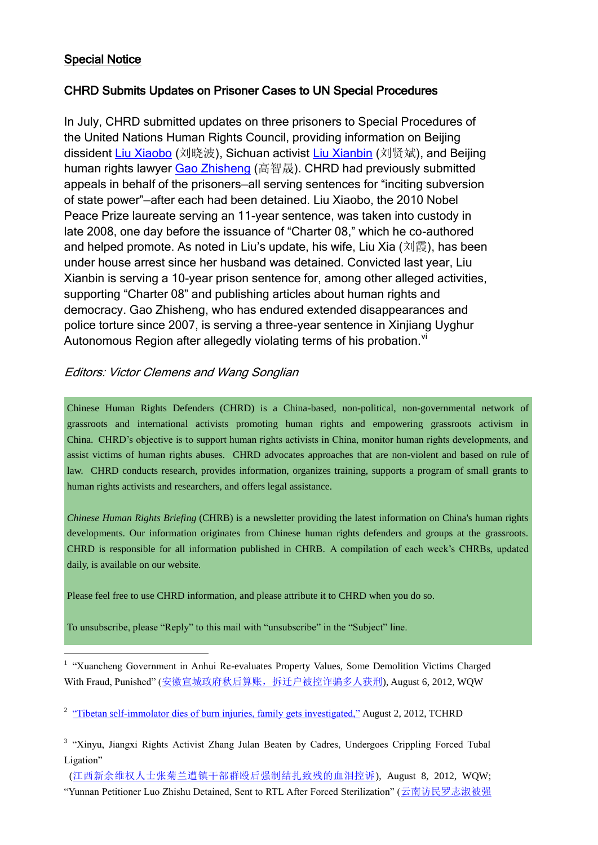### Special Notice

 $\overline{a}$ 

#### CHRD Submits Updates on Prisoner Cases to UN Special Procedures

In July, CHRD submitted updates on three prisoners to Special Procedures of the United Nations Human Rights Council, providing information on Beijing dissident [Liu Xiaobo](http://chrdnet.com/2012/07/25/update-to-un-on-cases-of-liu-xiaobo-liu-xia-july-25-2012/) (刘晓波), Sichuan activist [Liu Xianbin](http://chrdnet.com/2012/07/13/update-to-un-on-case-of-liu-xianbin-july-13-2012/) (刘贤斌), and Beijing human rights lawyer [Gao Zhisheng](http://chrdnet.com/2012/07/23/update-to-un-on-case-of-gao-zhisheng-july-23-2012/) (高智晟). CHRD had previously submitted appeals in behalf of the prisoners—all serving sentences for "inciting subversion of state power"—after each had been detained. Liu Xiaobo, the 2010 Nobel Peace Prize laureate serving an 11-year sentence, was taken into custody in late 2008, one day before the issuance of "Charter 08," which he co-authored and helped promote. As noted in Liu's update, his wife, Liu Xia (刘霞), has been under house arrest since her husband was detained. Convicted last year, Liu Xianbin is serving a 10-year prison sentence for, among other alleged activities, supporting "Charter 08" and publishing articles about human rights and democracy. Gao Zhisheng, who has endured extended disappearances and police torture since 2007, is serving a three-year sentence in Xinjiang Uyghur Autonomous Region after allegedly violating terms of his probation.<sup>vi</sup>

### Editors: Victor Clemens and Wang Songlian

Chinese Human Rights Defenders (CHRD) is a China-based, non-political, non-governmental network of grassroots and international activists promoting human rights and empowering grassroots activism in China. CHRD's objective is to support human rights activists in China, monitor human rights developments, and assist victims of human rights abuses. CHRD advocates approaches that are non-violent and based on rule of law. CHRD conducts research, provides information, organizes training, supports a program of small grants to human rights activists and researchers, and offers legal assistance.

*Chinese Human Rights Briefing* (CHRB) is a newsletter providing the latest information on China's human rights developments. Our information originates from Chinese human rights defenders and groups at the grassroots. CHRD is responsible for all information published in CHRB. A compilation of each week's CHRBs, updated daily, is available on our website.

Please feel free to use CHRD information, and please attribute it to CHRD when you do so.

To unsubscribe, please "Reply" to this mail with "unsubscribe" in the "Subject" line.

<sup>1</sup> "Xuancheng Government in Anhui Re-evaluates Property Values, Some Demolition Victims Charged With Fraud, Punished" ([安徽宣城政府秋后算账,拆迁户被控诈骗多人获刑](http://wqw2010.blogspot.hk/2012/08/blog-post_1229.html?spref=tw)), August 6, 2012, WOW

<sup>2</sup> ["Tibetan self-immolator dies of burn injuries, family gets investigated,"](http://www.tchrd.org/index.php?option=com_content&view=article&id=254:tibetan-self-immolator-dies-of-burn-injuries-family-gets-investigated&catid=70:2012-news&Itemid=162) August 2, 2012, TCHRD

<sup>3</sup> "Xinyu, Jiangxi Rights Activist Zhang Julan Beaten by Cadres, Undergoes Crippling Forced Tubal Ligation"

([江西新余维权人士张菊兰遭镇干部群殴后强制结扎致残的血泪控诉](http://wqw2010.blogspot.fr/2012/08/blog-post_9470.html)), August 8, 2012, WQW; "Yunnan Petitioner Luo Zhishu Detained, Sent to RTL After Forced Sterilization" ([云南访民罗志淑被强](http://wqw2010.blogspot.fr/2012/08/blog-post_5898.html?spref=tw)